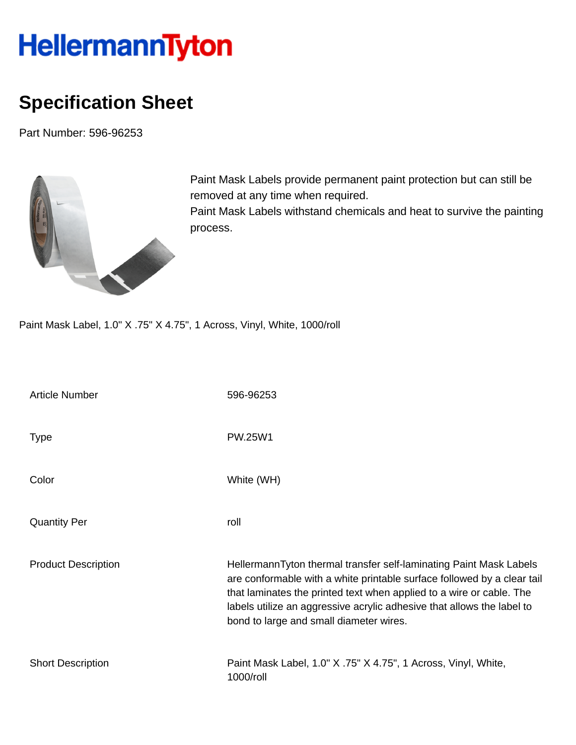## HellermannTyton

## **Specification Sheet**

Part Number: 596-96253



Paint Mask Labels provide permanent paint protection but can still be removed at any time when required. Paint Mask Labels withstand chemicals and heat to survive the painting

Paint Mask Label, 1.0" X .75" X 4.75", 1 Across, Vinyl, White, 1000/roll

process.

| <b>Article Number</b>      | 596-96253                                                                                                                                                                                                                                                                                                                                  |
|----------------------------|--------------------------------------------------------------------------------------------------------------------------------------------------------------------------------------------------------------------------------------------------------------------------------------------------------------------------------------------|
| <b>Type</b>                | PW.25W1                                                                                                                                                                                                                                                                                                                                    |
| Color                      | White (WH)                                                                                                                                                                                                                                                                                                                                 |
| <b>Quantity Per</b>        | roll                                                                                                                                                                                                                                                                                                                                       |
| <b>Product Description</b> | HellermannTyton thermal transfer self-laminating Paint Mask Labels<br>are conformable with a white printable surface followed by a clear tail<br>that laminates the printed text when applied to a wire or cable. The<br>labels utilize an aggressive acrylic adhesive that allows the label to<br>bond to large and small diameter wires. |
| <b>Short Description</b>   | Paint Mask Label, 1.0" X .75" X 4.75", 1 Across, Vinyl, White,<br>1000/roll                                                                                                                                                                                                                                                                |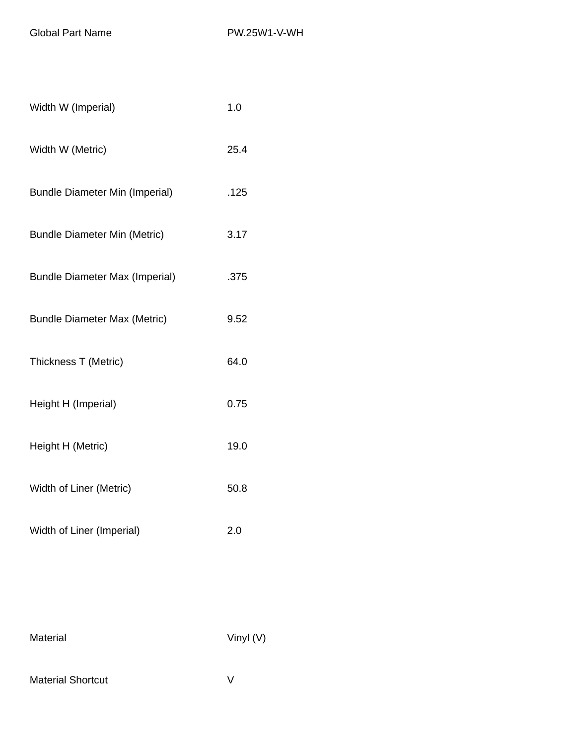Global Part Name PW.25W1-V-WH

| Width W (Imperial)                    | 1.0  |
|---------------------------------------|------|
| Width W (Metric)                      | 25.4 |
| <b>Bundle Diameter Min (Imperial)</b> | .125 |
| <b>Bundle Diameter Min (Metric)</b>   | 3.17 |
| <b>Bundle Diameter Max (Imperial)</b> | .375 |
| <b>Bundle Diameter Max (Metric)</b>   | 9.52 |
| Thickness T (Metric)                  | 64.0 |
| Height H (Imperial)                   | 0.75 |
| Height H (Metric)                     | 19.0 |
| Width of Liner (Metric)               | 50.8 |
| Width of Liner (Imperial)             | 2.0  |

Material Vinyl (V)